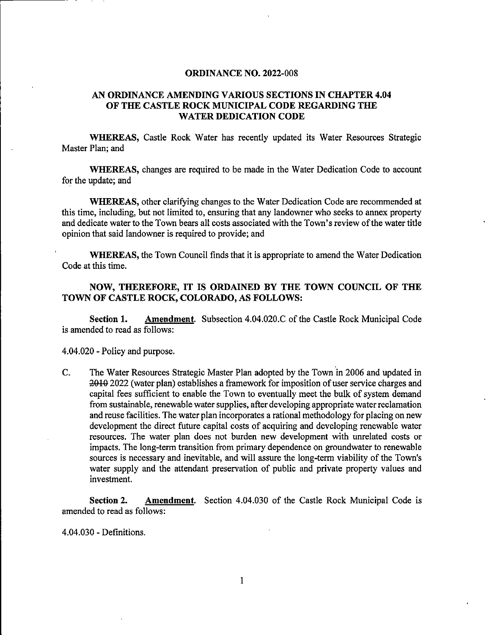## ORDINANCE NO. 2022-008

## AN ORDINANCE AMENDING VARIOUS SECTIONS IN CHAPTER 4.04 OF THE CASTLE ROCK MUNICIPAL CODE REGARDING THE WATER DEDICATION CODE

WHEREAS, Castle Rock Water has recently updated its Water Resources Strategic Master Plan; and

WHEREAS, changes are required to be made in the Water Dedication Code to account for the update; and

WHEREAS, other clarifying changes to the Water Dedication Code are recommended at this time, including, but not limited to, ensuring that any landowner who seeks to annex property and dedicate water to the Town bears all costs associated with the Town's review of the water title opinion that said landowner is required to provide; and

WHEREAS, the Town Council finds that it is appropriate to amend the Water Dedication Code at this time.

## NOW, THEREFORE, IT IS ORDAINED BY THE TOWN COUNCIL OF THE TOWN OF CASTLE ROCK, COLORADO, AS FOLLOWS:

Section 1. Amendment. Subsection 4.04.020.C of the Castle Rock Municipal Code is amended to read as follows:

4.04.020 - Policy and purpose.

C. The Water Resources Strategic Master Plan adopted by the Town in 2006 and updated in 2010 2022 (water plan) establishes a framework for imposition of user service charges and capital fees sufficient to enable the Town to eventually meet the bulk of system demand from sustainable, renewable water supplies, after developing appropriate water reclamation and reuse facilities. The water plan incorporates a rational methodology for placing on new development the direct future capital costs of acquiring and developing renewable water resources. The water plan does not burden new development with unrelated costs or impacts. The long-term transition from primary dependence on groundwater to renewable sources is necessary and inevitable, and will assure the long-term viability of the Town's water supply and the attendant preservation of public and private property values and investment.

Section 2. Amendment. Section 4.04.030 of the Castle Rock Municipal Code is amended to read as follows:

4.04.030 - Definitions.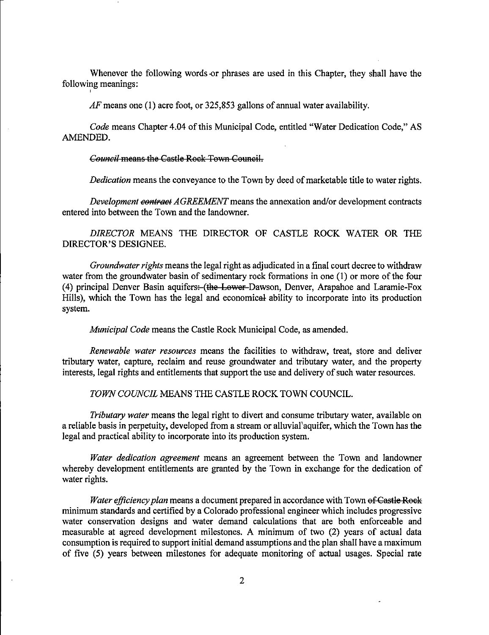Whenever the following words or phrases are used in this Chapter, they shall have the following meanings:

 $AF$  means one (1) acre foot, or 325,853 gallons of annual water availability.

Code means Chapter 4.04 of this Municipal Code, entitled "Water Dedication Code," AS AMENDED.

Council means the Castle Rook Town Council.

f

Dedication means the conveyance to the Town by deed of marketable title to water rights.

Development contract AGREEMENT means the annexation and/or development contracts entered into between the Town and the landowner.

DIRECTOR MEANS THE DIRECTOR OF CASTLE ROCK WATER OR THE DIRECTOR'S DESIGNEE.

Groundwater rights means the legal right as adjudicated in a final court decree to withdraw water from the groundwater basin of sedimentary rock formations in one (1) or more of the four (4) principal Denver Basin aquifers: (the Lower Dawson, Denver, Arapahoe and Laramie-Fox Hills), which the Town has the legal and economical ability to incorporate into its production system.

Municipal Code means the Castle Rock Municipal Code, as amended.

Renewable water resources means the facilities to withdraw, treat, store and deliver tributary water, capture, reclaim and reuse groundwater and tributary water, and the property interests, legal rights and entitlements that support the use and delivery of such water resources.

## TOWN COUNCIL MEANS THE CASTLE ROCK TOWN COUNCIL.

Tributary water means the legal right to divert and consume tributary water, available on a reliable basis in perpetuity, developed from a stream or alluvial'aquifer, which the Town has the legal and practical ability to incorporate into its production system.

Water dedication agreement means an agreement between the Town and landowner whereby development entitlements are granted by the Town in exchange for the dedication of water rights.

Water efficiency plan means a document prepared in accordance with Town of Castle Rock minimum standards and certified by a Colorado professional engineer which includes progressive water conservation designs and water demand calculations that are both enforceable and measurable at agreed development milestones. A minimum of two (2) years of actual data consumption is required to support initial demand assumptions and the plan shall have a maximum of five (5) years between milestones for adequate monitoring of actual usages. Special rate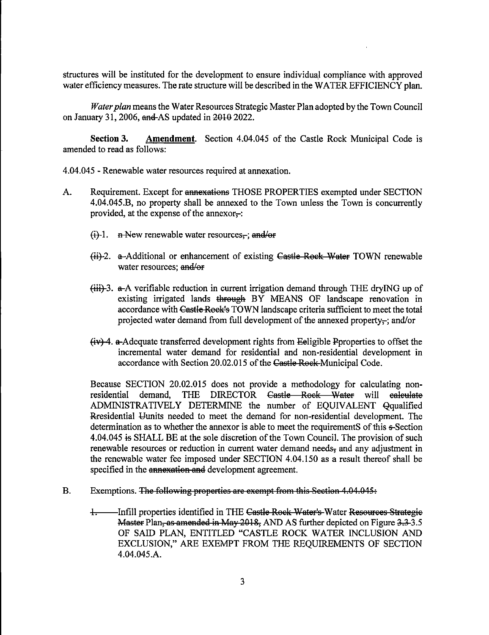structures will be instituted for the development to ensure individual compliance with approved water efficiency measures. The rate structure will be described in the WATER EFFICIENCY plan.

Water plan means the Water Resources Strategic Master Plan adopted by the Town Council on January 31, 2006,  $\theta$  and AS updated in 2010 2022.

Section 3. Amendment. Section 4.04.045 of the Castle Rock Municipal Code is amended to read as follows:

4.04.045 - Renewable water resources required at annexation.

- A. Requirement. Except for annexations THOSE PROPERTIES exempted under SECTION 4.04.045.B, no property shall be annexed to the Town unless the Town is concurrently provided, at the expense of the annexor $\div$ :
	- $(i)$ -1. **h** New renewable water resources<sub> $\tau$ </sub>; and/or
	- $\frac{h}{h}$ -2. a-Additional or enhancement of existing Castle Rock Water TOWN renewable water resources; and/or
	- $\left\langle \frac{d}{dt} \right\rangle$ .  $\alpha$ -A verifiable reduction in current irrigation demand through THE dryING up of existing irrigated lands through BY MEANS OF landscape renovation in accordance with Castle Rook's TOWN landscape criteria sufficient to meet the total projected water demand from full development of the annexed property-; and/or
	- $(iv)$  4. a-Adequate transferred development rights from Eeligible Pproperties to offset the incremental water demand for residential and non-residential development in accordance with Section 20.02.015 of the Castle Rock Municipal Code.

Because SECTION 20.02.015 does not provide a methodology for calculating nonresidential demand, THE DIRECTOR Castle—Rook—Water will calculate ADMINISTRATIVELY DETERMINE the number of EQUIVALENT Qqualified ftresidential Uunits needed to meet the demand for non-residential development. The determination as to whether the annexor is able to meet the requirements ofthis e-Section 4.04.045 is SHALL BE at the sole discretion of the Town Council. The provision of such renewable resources or reduction in current water demand needs, and any adjustment in the renewable water fee imposed under SECTION 4.04.150 as a result thereof shall be specified in the annexation and development agreement.

- B. Exemptions. The following properties are exempt from this Section 4.04.045:
	- <sup>1</sup>. Infill properties identified in THE Castle Rock Water's Water Resources Strategie Master Plan, as amended in May 2018, AND AS further depicted on Figure 3.3-3.5 OF SAID PLAN, ENTITLED "CASTLE ROCK WATER INCLUSION AND EXCLUSION," ARE EXEMPT FROM THE REQUIREMENTS OF SECTION 4.04.045.A.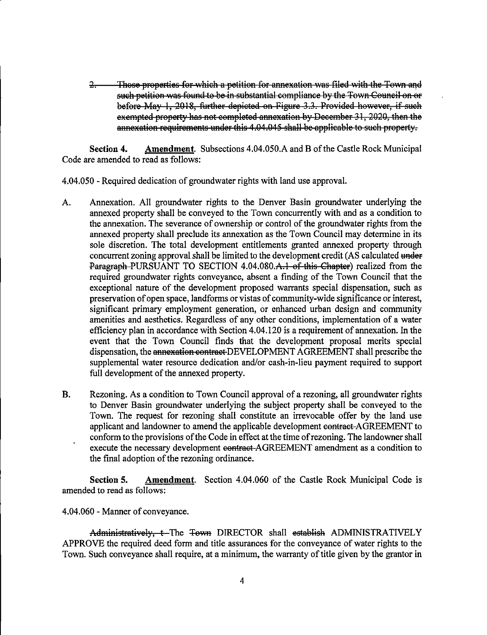2: Those properties for which a petition for annexation was filed with tho Town and such petition was found to be in substantial compliance by the Town Council on or boforo May 1, 2018, further depicted on Figure 3.3, Provided however, if suoh exempted property has not completed annexation by December 31, 2020, then the annexation requirements under this 4.04.045 shall be applicable to such property.

Section 4. Amendment. Subsections 4.04.050.A and B of the Castle Rock Municipal Code are amended to read as follows:

4.04.050 - Required dedication of groundwater rights with land use approval.

- A. Annexation. All groundwater rights to the Denver Basin groundwater underlying the annexed property shall be conveyed to the Town concurrently with and as a condition to the annexation. The severance of ownership or control of the groundwater rights from the annexed property shall preclude its annexation as the Town Council may determine in its sole discretion. The total development entitlements granted annexed property through concurrent zoning approval shall be limited to the development credit (AS calculated under Paragraph-PURSUANT TO SECTION 4.04.080.A.1 of this Chapter) realized from the required groundwater rights conveyance, absent a finding of the Town Council that the exceptional nature of the development proposed warrants special dispensation, such as preservation of open space, landforms or vistas of community-wide significance or interest, significant primary employment generation, or enhanced urban design and community amenities and aesthetics. Regardless of any other conditions, implementation of a water efficiency plan in accordance with Section 4.04.120 is a requirement of annexation. In the event that the Town Council finds that the development proposal merits special dispensation, the annexation contract DEVELOPMENT AGREEMENT shall prescribe the supplemental water resource dedication and/or cash-in-lieu payment required to support full development of the annexed property.
- B. Rezoning. As a condition to Town Council approval of a rezoning, all groundwater rights to Denver Basin groundwater underlying the subject property shall be conveyed to the Town. The request for rezoning shall constitute an irrevocable offer by the land use applicant and landowner to amend the applicable development contract-AGREEMENT to conform to the provisions of the Code in effect at the time of rezoning. The landowner shall execute the necessary development contract AGREEMENT amendment as a condition to the final adoption of the rezoning ordinance.

Section 5. Amendment. Section 4.04.060 of the Castle Rock Municipal Code is amended to read as follows:

4.04.060 - Manner of conveyance.

Administratively, t-The Town DIRECTOR shall establish ADMINISTRATIVELY APPROVE the required deed form and title assurances for the conveyance of water rights to the Town. Such conveyance shall require, at a minimum, the warranty of title given by the grantor in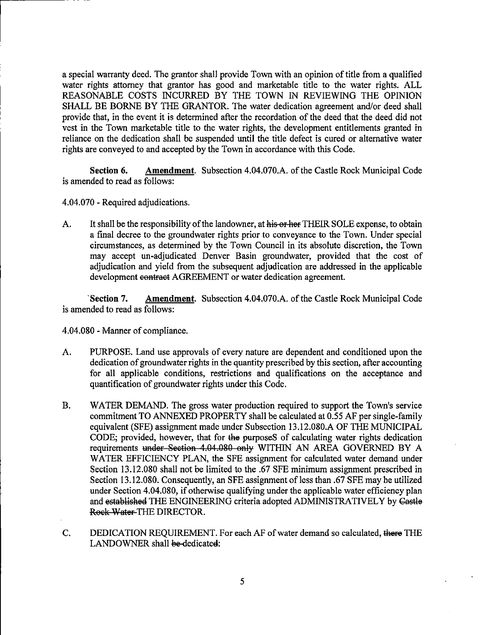a special warranty deed. The grantor shall provide Town with an opinion of title from a qualified water rights attorney that grantor has good and marketable title to the water rights. ALL REASONABLE COSTS INCURRED BY THE TOWN IN REVIEWING THE OPINION SHALL BE BORNE BY THE GRANTOR. The water dedication agreement and/or deed shall provide that, in the event it is determined after the recordation of the deed that the deed did not vest in the Town marketable title to the water rights, the development entitlements granted in reliance on the dedication shall be suspended until the title defect is cured or alternative water rights are conveyed to and accepted by the Town in accordance with this Code.

Section 6. Amendment. Subsection 4.04.070.A. of the Castle Rock Municipal Code is amended to read as follows:

- 4.04.070 Required adjudications.
- A. It shall be the responsibility of the landowner, at his or here THEIR SOLE expense, to obtain a final decree to the groundwater rights prior to conveyance to the Town. Under special circumstances, as determined by the Town Council in its absolute discretion, the Town may accept un-adjudicated Denver Basin groundwater, provided that the cost of adjudication and yield from the subsequent adjudication are addressed in the applicable development contract AGREEMENT or water dedication agreement.

Section 7. Amendment. Subsection 4.04.070.A. of the Castle Rock Municipal Code is amended to read as follows:

4.04.080 - Manner of compliance.

- A. PURPOSE. Land use approvals of every nature are dependent and conditioned upon the dedication of groundwater rights in the quantity prescribed by this section, after accounting for all applicable conditions, restrictions and qualifications on the acceptance and quantification of groundwater rights under this Code.
- B. WATER DEMAND. The gross water production required to support the Town's service commitment TO ANNEXED PROPERTY shall be calculated at 0.55 AF per single-family equivalent (SFE) assignment made under Subsection 13.12.080.A OF THE MUNICIPAL CODE; provided, however, that for the purposeS of calculating water rights dedication requirements under Section 4.04.080 only WITHIN AN AREA GOVERNED BY A WATER EFFICIENCY PLAN, the SFE assignment for calculated water demand under Section 13.12.080 shall not be limited to the .67 SEE minimum assignment prescribed in Section 13.12.080. Consequently, an SFE assignment of less than .67 SFE may be utilized under Section 4.04.080, if otherwise qualifying under the applicable water efficiency plan and established THE ENGINEERING criteria adopted ADMINISTRATIVELY by Castlo Rock Water THE DIRECTOR.
- C. DEDICATION REQUIREMENT. For each AF of water demand so calculated, there THE LANDOWNER shall be-dedicated: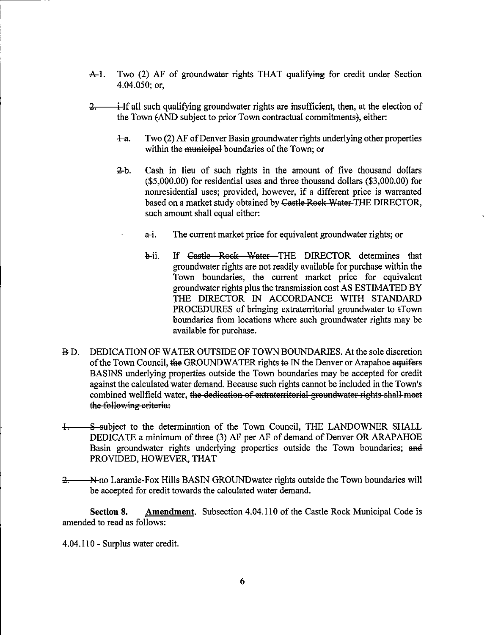- $\mathbf{A}\text{-}1$ . Two (2) AF of groundwater rights THAT qualifying for credit under Section 4.04.050; or,
- $\div$ If all such qualifying groundwater rights are insufficient, then, at the election of  $2$ the Town (AND subject to prior Town contractual commitments), either:
	- 4-a. Two (2) AF ofDenver Basin groundwater rights underlying other properties within the municipal boundaries of the Town; or
	- 3-b. Cash in lieu of such rights in the amount of five thousand dollars (\$5,000.00) for residential uses and three thousand dollars (\$3,000.00) for nonresidential uses; provided, however, if a different price is warranted based on a market study obtained by Castle Rock Water-THE DIRECTOR, such amount shall equal either:
		- a-i. The current market price for equivalent groundwater rights; or
			- b-ii. If Castle—Rook—Water—THE DIRECTOR determines that groundwater rights are not readily available for purchase within the Town boundaries, the current market price for equivalent groundwater rights plus the transmission cost AS ESTIMATED BY THE DIRECTOR IN ACCORDANCE WITH STANDARD PROCEDURES of bringing extraterritorial groundwater to  $\text{fTown}$ boundaries from locations where such groundwater rights may be available for purchase.
- B D. DEDICATION OF WATER OUTSIDE OF TOWN BOUNDARIES. At the sole discretion of the Town Council, the GROUNDWATER rights to IN the Denver or Arapahoe aquifers BASINS underlying properties outside the Town boundaries may be accepted for credit against the calculated water demand. Because such rights cannot be included in the Town's combined wellfield water, the dedication of extraterritorial groundwater rights shall meet the following criteria:
- 1. S-subject to the determination of the Town Council, THE LANDOWNER SHALL DEDICATE a minimum of three (3) AF per AF of demand of Denver OR ARAPAHOE Basin groundwater rights underlying properties outside the Town boundaries; and PROVIDED, HOWEVER, THAT
- 2. N-no Laramie-Fox Hills BASIN GROUNDwater rights outside the Town boundaries will be accepted for credit towards the calculated water demand.

Section 8. Amendment. Subsection 4.04.110 of the Castle Rock Municipal Code is amended to read as follows:

4.04.110 - Surplus water credit.